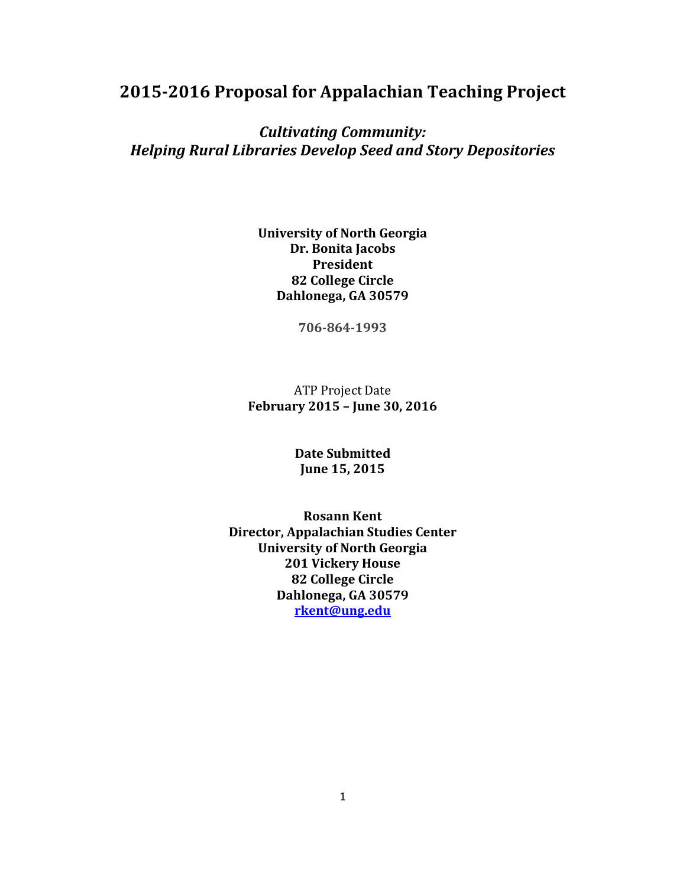# **2015-2016 Proposal for Appalachian Teaching Project**

## *Cultivating Community: Helping Rural Libraries Develop Seed and Story Depositories*

### **University of North Georgia Dr. Bonita Jacobs President 82 College Circle Dahlonega, GA 30579**

**706-864-1993**

## ATP Project Date **February 2015 – June 30, 2016**

#### **Date Submitted June 15, 2015**

**Rosann Kent Director, Appalachian Studies Center University of North Georgia 201 Vickery House 82 College Circle Dahlonega, GA 30579 [rkent@ung.edu](mailto:rkent@ung.edu)**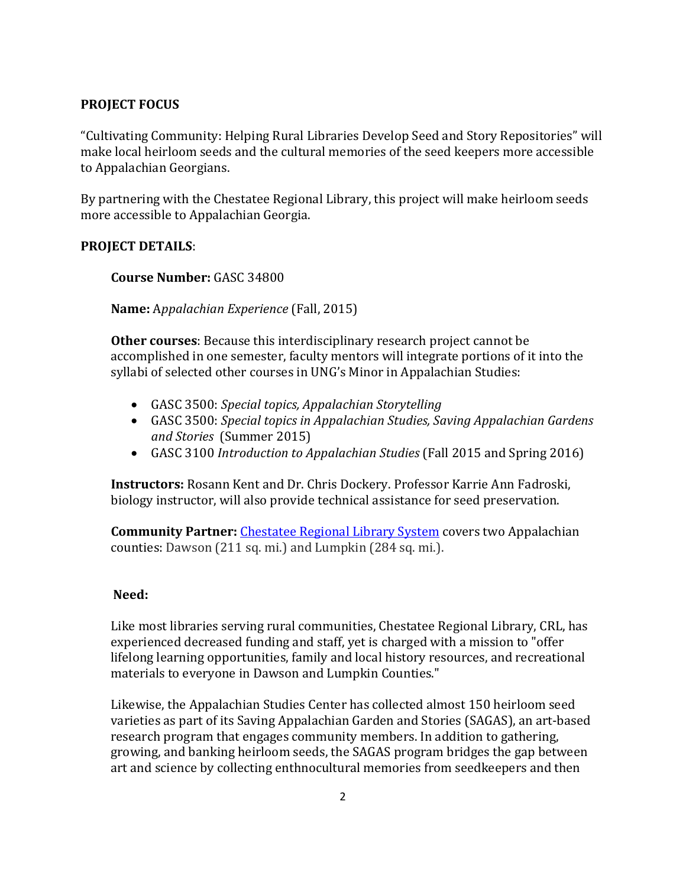## **PROJECT FOCUS**

"Cultivating Community: Helping Rural Libraries Develop Seed and Story Repositories" will make local heirloom seeds and the cultural memories of the seed keepers more accessible to Appalachian Georgians.

By partnering with the Chestatee Regional Library, this project will make heirloom seeds more accessible to Appalachian Georgia.

#### **PROJECT DETAILS**:

#### **Course Number:** GASC 34800

**Name:** A*ppalachian Experience* (Fall, 2015)

**Other courses**: Because this interdisciplinary research project cannot be accomplished in one semester, faculty mentors will integrate portions of it into the syllabi of selected other courses in UNG's Minor in Appalachian Studies:

- GASC 3500: *Special topics, Appalachian Storytelling*
- GASC 3500: *Special topics in Appalachian Studies, Saving Appalachian Gardens and Stories* (Summer 2015)
- GASC 3100 *Introduction to Appalachian Studies* (Fall 2015 and Spring 2016)

**Instructors:** Rosann Kent and Dr. Chris Dockery. Professor Karrie Ann Fadroski, biology instructor, will also provide technical assistance for seed preservation.

**Community Partner:** [Chestatee Regional Library System](http://chestateelibrary.org/) covers two Appalachian counties: Dawson (211 sq. mi.) and Lumpkin (284 sq. mi.).

#### **Need:**

Like most libraries serving rural communities, Chestatee Regional Library, CRL, has experienced decreased funding and staff, yet is charged with a mission to "offer lifelong learning opportunities, family and local history resources, and recreational materials to everyone in Dawson and Lumpkin Counties."

Likewise, the Appalachian Studies Center has collected almost 150 heirloom seed varieties as part of its Saving Appalachian Garden and Stories (SAGAS), an art-based research program that engages community members. In addition to gathering, growing, and banking heirloom seeds, the SAGAS program bridges the gap between art and science by collecting enthnocultural memories from seedkeepers and then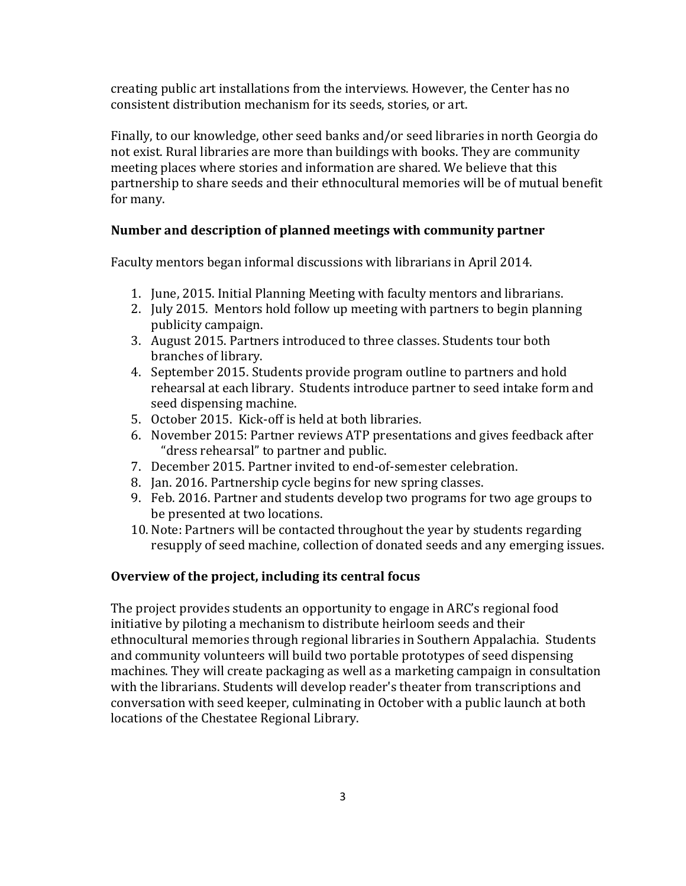creating public art installations from the interviews. However, the Center has no consistent distribution mechanism for its seeds, stories, or art.

Finally, to our knowledge, other seed banks and/or seed libraries in north Georgia do not exist. Rural libraries are more than buildings with books. They are community meeting places where stories and information are shared. We believe that this partnership to share seeds and their ethnocultural memories will be of mutual benefit for many.

#### **Number and description of planned meetings with community partner**

Faculty mentors began informal discussions with librarians in April 2014.

- 1. June, 2015. Initial Planning Meeting with faculty mentors and librarians.
- 2. July 2015. Mentors hold follow up meeting with partners to begin planning publicity campaign.
- 3. August 2015. Partners introduced to three classes. Students tour both branches of library.
- 4. September 2015. Students provide program outline to partners and hold rehearsal at each library. Students introduce partner to seed intake form and seed dispensing machine.
- 5. October 2015. Kick-off is held at both libraries.
- 6. November 2015: Partner reviews ATP presentations and gives feedback after "dress rehearsal" to partner and public.
- 7. December 2015. Partner invited to end-of-semester celebration.
- 8. Jan. 2016. Partnership cycle begins for new spring classes.
- 9. Feb. 2016. Partner and students develop two programs for two age groups to be presented at two locations.
- 10. Note: Partners will be contacted throughout the year by students regarding resupply of seed machine, collection of donated seeds and any emerging issues.

## **Overview of the project, including its central focus**

The project provides students an opportunity to engage in ARC's regional food initiative by piloting a mechanism to distribute heirloom seeds and their ethnocultural memories through regional libraries in Southern Appalachia. Students and community volunteers will build two portable prototypes of seed dispensing machines. They will create packaging as well as a marketing campaign in consultation with the librarians. Students will develop reader's theater from transcriptions and conversation with seed keeper, culminating in October with a public launch at both locations of the Chestatee Regional Library.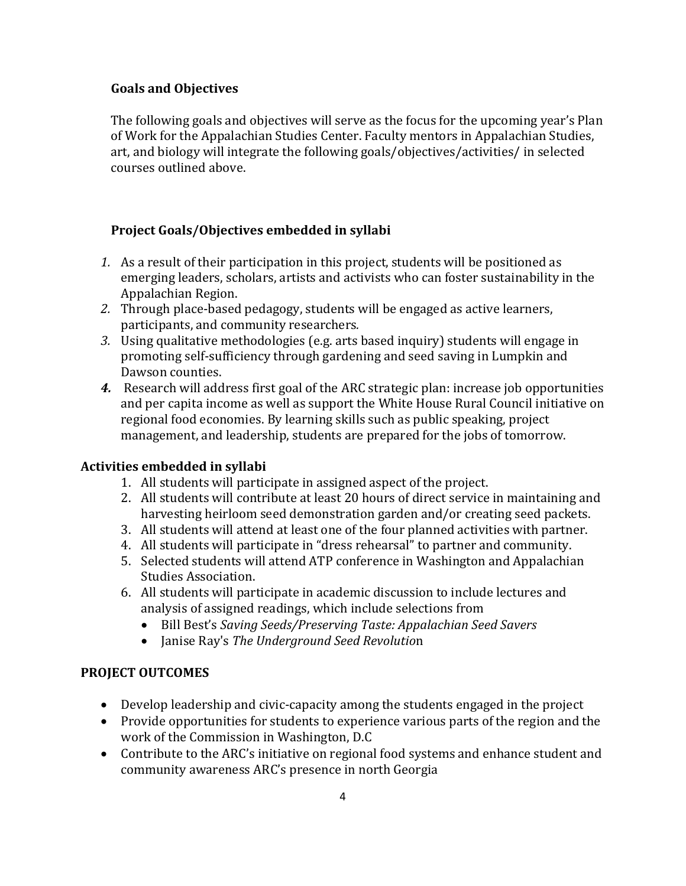## **Goals and Objectives**

The following goals and objectives will serve as the focus for the upcoming year's Plan of Work for the Appalachian Studies Center. Faculty mentors in Appalachian Studies, art, and biology will integrate the following goals/objectives/activities/ in selected courses outlined above.

## **Project Goals/Objectives embedded in syllabi**

- *1.* As a result of their participation in this project, students will be positioned as emerging leaders, scholars, artists and activists who can foster sustainability in the Appalachian Region.
- *2.* Through place-based pedagogy, students will be engaged as active learners, participants, and community researchers*.*
- *3.* Using qualitative methodologies (e.g. arts based inquiry) students will engage in promoting self-sufficiency through gardening and seed saving in Lumpkin and Dawson counties.
- *4.* Research will address first goal of the ARC strategic plan: increase job opportunities and per capita income as well as support the White House Rural Council initiative on regional food economies. By learning skills such as public speaking, project management, and leadership, students are prepared for the jobs of tomorrow.

## **Activities embedded in syllabi**

- 1. All students will participate in assigned aspect of the project.
- 2. All students will contribute at least 20 hours of direct service in maintaining and harvesting heirloom seed demonstration garden and/or creating seed packets.
- 3. All students will attend at least one of the four planned activities with partner.
- 4. All students will participate in "dress rehearsal" to partner and community.
- 5. Selected students will attend ATP conference in Washington and Appalachian Studies Association.
- 6. All students will participate in academic discussion to include lectures and analysis of assigned readings, which include selections from
	- Bill Best's *Saving Seeds/Preserving Taste: Appalachian Seed Savers*
	- Janise Ray's *The Underground Seed Revolutio*n

## **PROJECT OUTCOMES**

- Develop leadership and civic-capacity among the students engaged in the project
- Provide opportunities for students to experience various parts of the region and the work of the Commission in Washington, D.C
- Contribute to the ARC's initiative on regional food systems and enhance student and community awareness ARC's presence in north Georgia